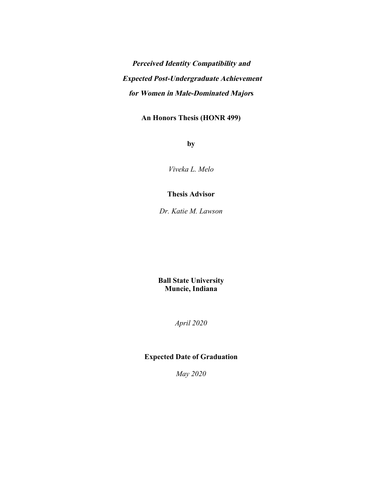**Perceived Identity Compatibility and Expected Post-Undergraduate Achievement for Women in Male-Dominated Majors** 

**An Honors Thesis (HONR 499)** 

**by** 

*Viveka L. Melo* 

### **Thesis Advisor**

*Dr. Katie M. Lawson* 

**Ball State University Muncie, Indiana** 

*April 2020* 

### **Expected Date of Graduation**

*May 2020*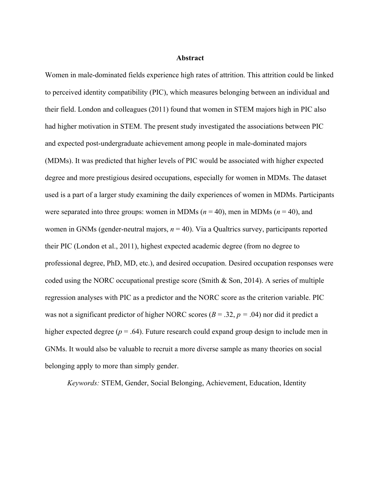#### **Abstract**

Women in male-dominated fields experience high rates of attrition. This attrition could be linked to perceived identity compatibility (PIC), which measures belonging between an individual and their field. London and colleagues (2011) found that women in STEM majors high in PIC also had higher motivation in STEM. The present study investigated the associations between PIC and expected post-undergraduate achievement among people in male-dominated majors (MDMs). It was predicted that higher levels of PIC would be associated with higher expected degree and more prestigious desired occupations, especially for women in MDMs. The dataset used is a part of a larger study examining the daily experiences of women in MDMs. Participants were separated into three groups: women in MDMs ( $n = 40$ ), men in MDMs ( $n = 40$ ), and women in GNMs (gender-neutral majors,  $n = 40$ ). Via a Qualtrics survey, participants reported their PIC (London et al., 2011), highest expected academic degree (from no degree to professional degree, PhD, MD, etc.), and desired occupation. Desired occupation responses were coded using the NORC occupational prestige score (Smith & Son, 2014). A series of multiple regression analyses with PIC as a predictor and the NORC score as the criterion variable. PIC was not a significant predictor of higher NORC scores ( $B = .32$ ,  $p = .04$ ) nor did it predict a higher expected degree ( $p = .64$ ). Future research could expand group design to include men in GNMs. It would also be valuable to recruit a more diverse sample as many theories on social belonging apply to more than simply gender.

*Keywords:* STEM, Gender, Social Belonging, Achievement, Education, Identity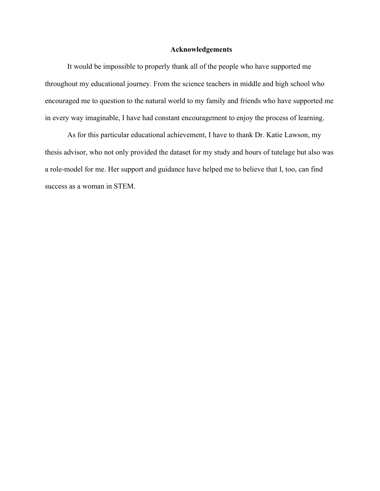#### **Acknowledgements**

It would be impossible to properly thank all of the people who have supported me throughout my educational journey. From the science teachers in middle and high school who encouraged me to question to the natural world to my family and friends who have supported me in every way imaginable, I have had constant encouragement to enjoy the process of learning.

As for this particular educational achievement, I have to thank Dr. Katie Lawson, my thesis advisor, who not only provided the dataset for my study and hours of tutelage but also was a role-model for me. Her support and guidance have helped me to believe that I, too, can find success as a woman in STEM.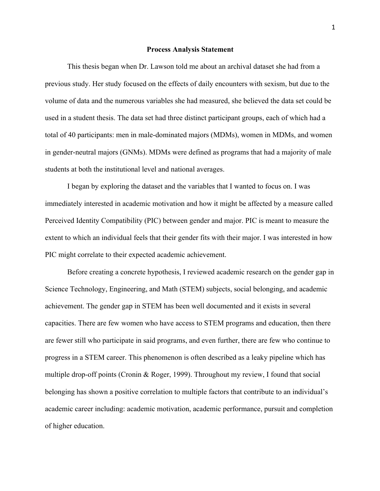#### **Process Analysis Statement**

This thesis began when Dr. Lawson told me about an archival dataset she had from a previous study. Her study focused on the effects of daily encounters with sexism, but due to the volume of data and the numerous variables she had measured, she believed the data set could be used in a student thesis. The data set had three distinct participant groups, each of which had a total of 40 participants: men in male-dominated majors (MDMs), women in MDMs, and women in gender-neutral majors (GNMs). MDMs were defined as programs that had a majority of male students at both the institutional level and national averages.

I began by exploring the dataset and the variables that I wanted to focus on. I was immediately interested in academic motivation and how it might be affected by a measure called Perceived Identity Compatibility (PIC) between gender and major. PIC is meant to measure the extent to which an individual feels that their gender fits with their major. I was interested in how PIC might correlate to their expected academic achievement.

Before creating a concrete hypothesis, I reviewed academic research on the gender gap in Science Technology, Engineering, and Math (STEM) subjects, social belonging, and academic achievement. The gender gap in STEM has been well documented and it exists in several capacities. There are few women who have access to STEM programs and education, then there are fewer still who participate in said programs, and even further, there are few who continue to progress in a STEM career. This phenomenon is often described as a leaky pipeline which has multiple drop-off points (Cronin & Roger, 1999). Throughout my review, I found that social belonging has shown a positive correlation to multiple factors that contribute to an individual's academic career including: academic motivation, academic performance, pursuit and completion of higher education.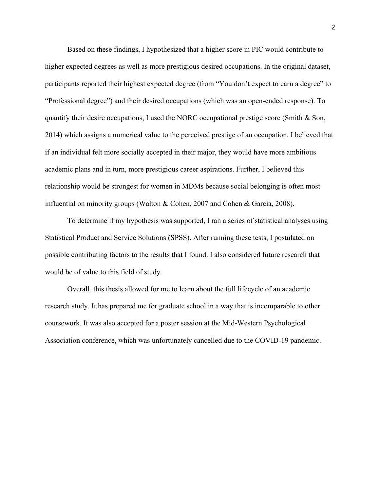Based on these findings, I hypothesized that a higher score in PIC would contribute to higher expected degrees as well as more prestigious desired occupations. In the original dataset, participants reported their highest expected degree (from "You don't expect to earn a degree" to "Professional degree") and their desired occupations (which was an open-ended response). To quantify their desire occupations, I used the NORC occupational prestige score (Smith & Son, 2014) which assigns a numerical value to the perceived prestige of an occupation. I believed that if an individual felt more socially accepted in their major, they would have more ambitious academic plans and in turn, more prestigious career aspirations. Further, I believed this relationship would be strongest for women in MDMs because social belonging is often most influential on minority groups (Walton & Cohen, 2007 and Cohen & Garcia, 2008).

To determine if my hypothesis was supported, I ran a series of statistical analyses using Statistical Product and Service Solutions (SPSS). After running these tests, I postulated on possible contributing factors to the results that I found. I also considered future research that would be of value to this field of study.

Overall, this thesis allowed for me to learn about the full lifecycle of an academic research study. It has prepared me for graduate school in a way that is incomparable to other coursework. It was also accepted for a poster session at the Mid-Western Psychological Association conference, which was unfortunately cancelled due to the COVID-19 pandemic.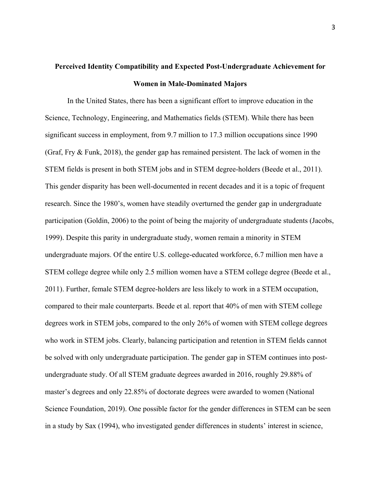# **Perceived Identity Compatibility and Expected Post-Undergraduate Achievement for Women in Male-Dominated Majors**

In the United States, there has been a significant effort to improve education in the Science, Technology, Engineering, and Mathematics fields (STEM). While there has been significant success in employment, from 9.7 million to 17.3 million occupations since 1990 (Graf, Fry & Funk, 2018), the gender gap has remained persistent. The lack of women in the STEM fields is present in both STEM jobs and in STEM degree-holders (Beede et al., 2011). This gender disparity has been well-documented in recent decades and it is a topic of frequent research. Since the 1980's, women have steadily overturned the gender gap in undergraduate participation (Goldin, 2006) to the point of being the majority of undergraduate students (Jacobs, 1999). Despite this parity in undergraduate study, women remain a minority in STEM undergraduate majors. Of the entire U.S. college-educated workforce, 6.7 million men have a STEM college degree while only 2.5 million women have a STEM college degree (Beede et al., 2011). Further, female STEM degree-holders are less likely to work in a STEM occupation, compared to their male counterparts. Beede et al. report that 40% of men with STEM college degrees work in STEM jobs, compared to the only 26% of women with STEM college degrees who work in STEM jobs. Clearly, balancing participation and retention in STEM fields cannot be solved with only undergraduate participation. The gender gap in STEM continues into postundergraduate study. Of all STEM graduate degrees awarded in 2016, roughly 29.88% of master's degrees and only 22.85% of doctorate degrees were awarded to women (National Science Foundation, 2019). One possible factor for the gender differences in STEM can be seen in a study by Sax (1994), who investigated gender differences in students' interest in science,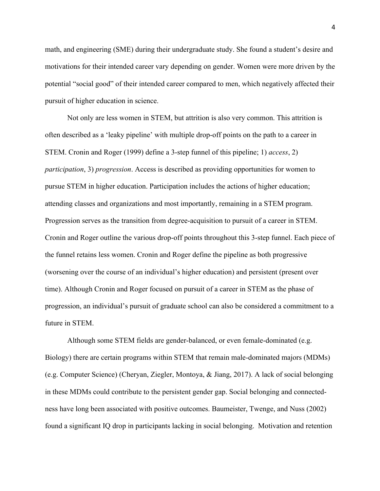math, and engineering (SME) during their undergraduate study. She found a student's desire and motivations for their intended career vary depending on gender. Women were more driven by the potential "social good" of their intended career compared to men, which negatively affected their pursuit of higher education in science.

Not only are less women in STEM, but attrition is also very common. This attrition is often described as a 'leaky pipeline' with multiple drop-off points on the path to a career in STEM. Cronin and Roger (1999) define a 3-step funnel of this pipeline; 1) *access*, 2) *participation*, 3) *progression*. Access is described as providing opportunities for women to pursue STEM in higher education. Participation includes the actions of higher education; attending classes and organizations and most importantly, remaining in a STEM program. Progression serves as the transition from degree-acquisition to pursuit of a career in STEM. Cronin and Roger outline the various drop-off points throughout this 3-step funnel. Each piece of the funnel retains less women. Cronin and Roger define the pipeline as both progressive (worsening over the course of an individual's higher education) and persistent (present over time). Although Cronin and Roger focused on pursuit of a career in STEM as the phase of progression, an individual's pursuit of graduate school can also be considered a commitment to a future in STEM.

Although some STEM fields are gender-balanced, or even female-dominated (e.g. Biology) there are certain programs within STEM that remain male-dominated majors (MDMs) (e.g. Computer Science) (Cheryan, Ziegler, Montoya, & Jiang, 2017). A lack of social belonging in these MDMs could contribute to the persistent gender gap. Social belonging and connectedness have long been associated with positive outcomes. Baumeister, Twenge, and Nuss (2002) found a significant IQ drop in participants lacking in social belonging. Motivation and retention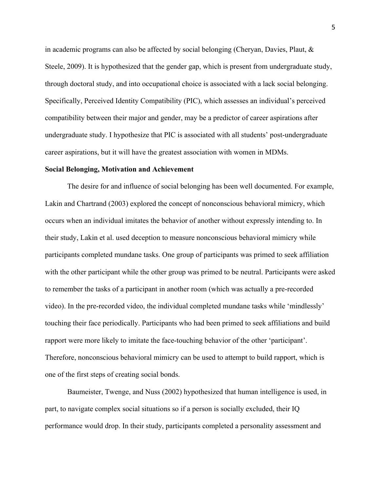in academic programs can also be affected by social belonging (Cheryan, Davies, Plaut, & Steele, 2009). It is hypothesized that the gender gap, which is present from undergraduate study, through doctoral study, and into occupational choice is associated with a lack social belonging. Specifically, Perceived Identity Compatibility (PIC), which assesses an individual's perceived compatibility between their major and gender, may be a predictor of career aspirations after undergraduate study. I hypothesize that PIC is associated with all students' post-undergraduate career aspirations, but it will have the greatest association with women in MDMs.

#### **Social Belonging, Motivation and Achievement**

The desire for and influence of social belonging has been well documented. For example, Lakin and Chartrand (2003) explored the concept of nonconscious behavioral mimicry, which occurs when an individual imitates the behavior of another without expressly intending to. In their study, Lakin et al. used deception to measure nonconscious behavioral mimicry while participants completed mundane tasks. One group of participants was primed to seek affiliation with the other participant while the other group was primed to be neutral. Participants were asked to remember the tasks of a participant in another room (which was actually a pre-recorded video). In the pre-recorded video, the individual completed mundane tasks while 'mindlessly' touching their face periodically. Participants who had been primed to seek affiliations and build rapport were more likely to imitate the face-touching behavior of the other 'participant'. Therefore, nonconscious behavioral mimicry can be used to attempt to build rapport, which is one of the first steps of creating social bonds.

Baumeister, Twenge, and Nuss (2002) hypothesized that human intelligence is used, in part, to navigate complex social situations so if a person is socially excluded, their IQ performance would drop. In their study, participants completed a personality assessment and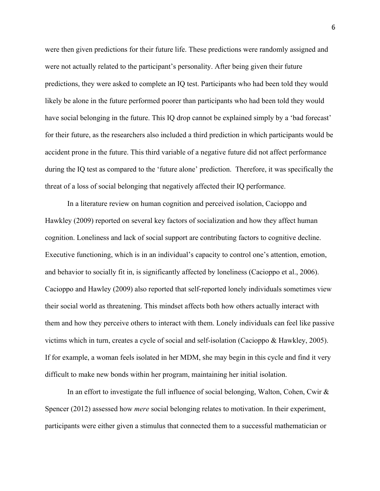were then given predictions for their future life. These predictions were randomly assigned and were not actually related to the participant's personality. After being given their future predictions, they were asked to complete an IQ test. Participants who had been told they would likely be alone in the future performed poorer than participants who had been told they would have social belonging in the future. This IQ drop cannot be explained simply by a 'bad forecast' for their future, as the researchers also included a third prediction in which participants would be accident prone in the future. This third variable of a negative future did not affect performance during the IQ test as compared to the 'future alone' prediction. Therefore, it was specifically the threat of a loss of social belonging that negatively affected their IQ performance.

In a literature review on human cognition and perceived isolation, Cacioppo and Hawkley (2009) reported on several key factors of socialization and how they affect human cognition. Loneliness and lack of social support are contributing factors to cognitive decline. Executive functioning, which is in an individual's capacity to control one's attention, emotion, and behavior to socially fit in, is significantly affected by loneliness (Cacioppo et al., 2006). Cacioppo and Hawley (2009) also reported that self-reported lonely individuals sometimes view their social world as threatening. This mindset affects both how others actually interact with them and how they perceive others to interact with them. Lonely individuals can feel like passive victims which in turn, creates a cycle of social and self-isolation (Cacioppo & Hawkley, 2005). If for example, a woman feels isolated in her MDM, she may begin in this cycle and find it very difficult to make new bonds within her program, maintaining her initial isolation.

In an effort to investigate the full influence of social belonging, Walton, Cohen, Cwir & Spencer (2012) assessed how *mere* social belonging relates to motivation. In their experiment, participants were either given a stimulus that connected them to a successful mathematician or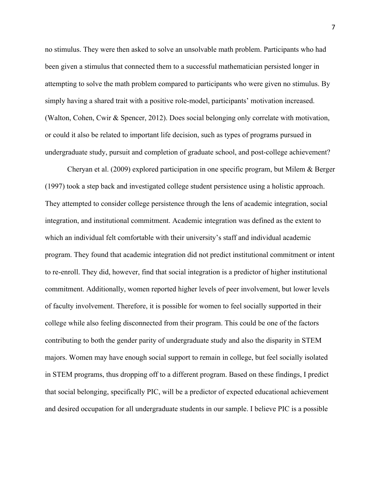no stimulus. They were then asked to solve an unsolvable math problem. Participants who had been given a stimulus that connected them to a successful mathematician persisted longer in attempting to solve the math problem compared to participants who were given no stimulus. By simply having a shared trait with a positive role-model, participants' motivation increased. (Walton, Cohen, Cwir & Spencer, 2012). Does social belonging only correlate with motivation, or could it also be related to important life decision, such as types of programs pursued in undergraduate study, pursuit and completion of graduate school, and post-college achievement?

Cheryan et al. (2009) explored participation in one specific program, but Milem & Berger (1997) took a step back and investigated college student persistence using a holistic approach. They attempted to consider college persistence through the lens of academic integration, social integration, and institutional commitment. Academic integration was defined as the extent to which an individual felt comfortable with their university's staff and individual academic program. They found that academic integration did not predict institutional commitment or intent to re-enroll. They did, however, find that social integration is a predictor of higher institutional commitment. Additionally, women reported higher levels of peer involvement, but lower levels of faculty involvement. Therefore, it is possible for women to feel socially supported in their college while also feeling disconnected from their program. This could be one of the factors contributing to both the gender parity of undergraduate study and also the disparity in STEM majors. Women may have enough social support to remain in college, but feel socially isolated in STEM programs, thus dropping off to a different program. Based on these findings, I predict that social belonging, specifically PIC, will be a predictor of expected educational achievement and desired occupation for all undergraduate students in our sample. I believe PIC is a possible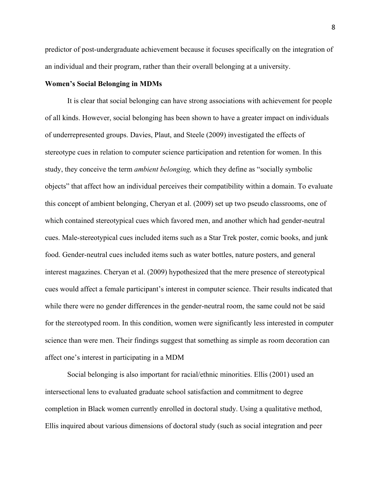predictor of post-undergraduate achievement because it focuses specifically on the integration of an individual and their program, rather than their overall belonging at a university.

#### **Women's Social Belonging in MDMs**

It is clear that social belonging can have strong associations with achievement for people of all kinds. However, social belonging has been shown to have a greater impact on individuals of underrepresented groups. Davies, Plaut, and Steele (2009) investigated the effects of stereotype cues in relation to computer science participation and retention for women. In this study, they conceive the term *ambient belonging,* which they define as "socially symbolic objects" that affect how an individual perceives their compatibility within a domain. To evaluate this concept of ambient belonging, Cheryan et al. (2009) set up two pseudo classrooms, one of which contained stereotypical cues which favored men, and another which had gender-neutral cues. Male-stereotypical cues included items such as a Star Trek poster, comic books, and junk food. Gender-neutral cues included items such as water bottles, nature posters, and general interest magazines. Cheryan et al. (2009) hypothesized that the mere presence of stereotypical cues would affect a female participant's interest in computer science. Their results indicated that while there were no gender differences in the gender-neutral room, the same could not be said for the stereotyped room. In this condition, women were significantly less interested in computer science than were men. Their findings suggest that something as simple as room decoration can affect one's interest in participating in a MDM

Social belonging is also important for racial/ethnic minorities. Ellis (2001) used an intersectional lens to evaluated graduate school satisfaction and commitment to degree completion in Black women currently enrolled in doctoral study. Using a qualitative method, Ellis inquired about various dimensions of doctoral study (such as social integration and peer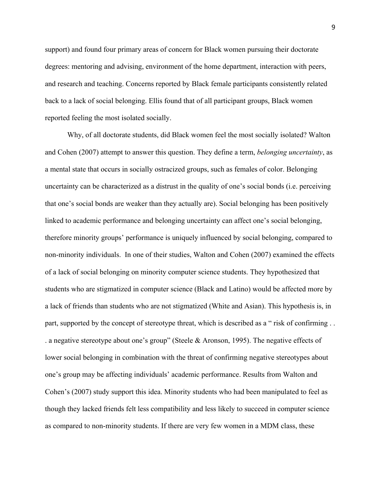support) and found four primary areas of concern for Black women pursuing their doctorate degrees: mentoring and advising, environment of the home department, interaction with peers, and research and teaching. Concerns reported by Black female participants consistently related back to a lack of social belonging. Ellis found that of all participant groups, Black women reported feeling the most isolated socially.

Why, of all doctorate students, did Black women feel the most socially isolated? Walton and Cohen (2007) attempt to answer this question. They define a term, *belonging uncertainty*, as a mental state that occurs in socially ostracized groups, such as females of color. Belonging uncertainty can be characterized as a distrust in the quality of one's social bonds (i.e. perceiving that one's social bonds are weaker than they actually are). Social belonging has been positively linked to academic performance and belonging uncertainty can affect one's social belonging, therefore minority groups' performance is uniquely influenced by social belonging, compared to non-minority individuals. In one of their studies, Walton and Cohen (2007) examined the effects of a lack of social belonging on minority computer science students. They hypothesized that students who are stigmatized in computer science (Black and Latino) would be affected more by a lack of friends than students who are not stigmatized (White and Asian). This hypothesis is, in part, supported by the concept of stereotype threat, which is described as a " risk of confirming . . . a negative stereotype about one's group" (Steele & Aronson, 1995). The negative effects of lower social belonging in combination with the threat of confirming negative stereotypes about one's group may be affecting individuals' academic performance. Results from Walton and Cohen's (2007) study support this idea. Minority students who had been manipulated to feel as though they lacked friends felt less compatibility and less likely to succeed in computer science as compared to non-minority students. If there are very few women in a MDM class, these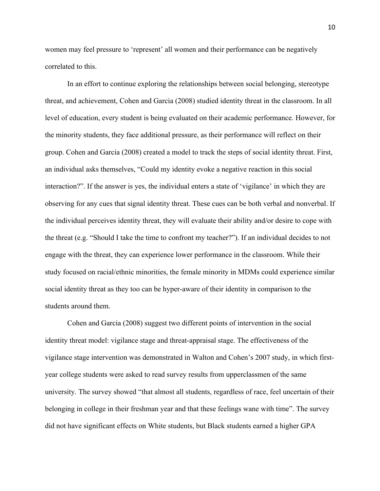women may feel pressure to 'represent' all women and their performance can be negatively correlated to this.

In an effort to continue exploring the relationships between social belonging, stereotype threat, and achievement, Cohen and Garcia (2008) studied identity threat in the classroom. In all level of education, every student is being evaluated on their academic performance. However, for the minority students, they face additional pressure, as their performance will reflect on their group. Cohen and Garcia (2008) created a model to track the steps of social identity threat. First, an individual asks themselves, "Could my identity evoke a negative reaction in this social interaction?". If the answer is yes, the individual enters a state of 'vigilance' in which they are observing for any cues that signal identity threat. These cues can be both verbal and nonverbal. If the individual perceives identity threat, they will evaluate their ability and/or desire to cope with the threat (e.g. "Should I take the time to confront my teacher?"). If an individual decides to not engage with the threat, they can experience lower performance in the classroom. While their study focused on racial/ethnic minorities, the female minority in MDMs could experience similar social identity threat as they too can be hyper-aware of their identity in comparison to the students around them.

Cohen and Garcia (2008) suggest two different points of intervention in the social identity threat model: vigilance stage and threat-appraisal stage. The effectiveness of the vigilance stage intervention was demonstrated in Walton and Cohen's 2007 study, in which firstyear college students were asked to read survey results from upperclassmen of the same university. The survey showed "that almost all students, regardless of race, feel uncertain of their belonging in college in their freshman year and that these feelings wane with time". The survey did not have significant effects on White students, but Black students earned a higher GPA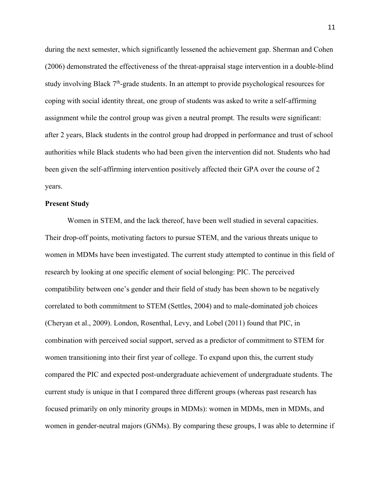during the next semester, which significantly lessened the achievement gap. Sherman and Cohen (2006) demonstrated the effectiveness of the threat-appraisal stage intervention in a double-blind study involving Black  $7<sup>th</sup>$ -grade students. In an attempt to provide psychological resources for coping with social identity threat, one group of students was asked to write a self-affirming assignment while the control group was given a neutral prompt. The results were significant: after 2 years, Black students in the control group had dropped in performance and trust of school authorities while Black students who had been given the intervention did not. Students who had been given the self-affirming intervention positively affected their GPA over the course of 2 years.

#### **Present Study**

Women in STEM, and the lack thereof, have been well studied in several capacities. Their drop-off points, motivating factors to pursue STEM, and the various threats unique to women in MDMs have been investigated. The current study attempted to continue in this field of research by looking at one specific element of social belonging: PIC. The perceived compatibility between one's gender and their field of study has been shown to be negatively correlated to both commitment to STEM (Settles, 2004) and to male-dominated job choices (Cheryan et al., 2009). London, Rosenthal, Levy, and Lobel (2011) found that PIC, in combination with perceived social support, served as a predictor of commitment to STEM for women transitioning into their first year of college. To expand upon this, the current study compared the PIC and expected post-undergraduate achievement of undergraduate students. The current study is unique in that I compared three different groups (whereas past research has focused primarily on only minority groups in MDMs): women in MDMs, men in MDMs, and women in gender-neutral majors (GNMs). By comparing these groups, I was able to determine if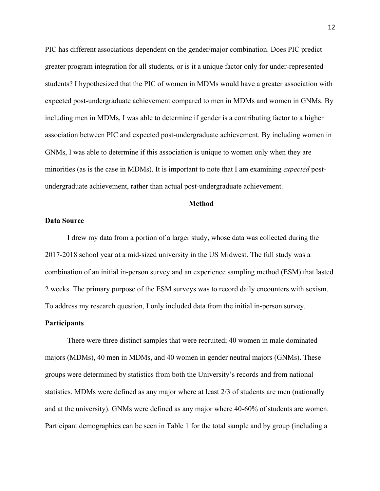PIC has different associations dependent on the gender/major combination. Does PIC predict greater program integration for all students, or is it a unique factor only for under-represented students? I hypothesized that the PIC of women in MDMs would have a greater association with expected post-undergraduate achievement compared to men in MDMs and women in GNMs. By including men in MDMs, I was able to determine if gender is a contributing factor to a higher association between PIC and expected post-undergraduate achievement. By including women in GNMs, I was able to determine if this association is unique to women only when they are minorities (as is the case in MDMs). It is important to note that I am examining *expected* postundergraduate achievement, rather than actual post-undergraduate achievement.

#### **Method**

#### **Data Source**

I drew my data from a portion of a larger study, whose data was collected during the 2017-2018 school year at a mid-sized university in the US Midwest. The full study was a combination of an initial in-person survey and an experience sampling method (ESM) that lasted 2 weeks. The primary purpose of the ESM surveys was to record daily encounters with sexism. To address my research question, I only included data from the initial in-person survey.

#### **Participants**

There were three distinct samples that were recruited; 40 women in male dominated majors (MDMs), 40 men in MDMs, and 40 women in gender neutral majors (GNMs). These groups were determined by statistics from both the University's records and from national statistics. MDMs were defined as any major where at least 2/3 of students are men (nationally and at the university). GNMs were defined as any major where 40-60% of students are women. Participant demographics can be seen in Table 1 for the total sample and by group (including a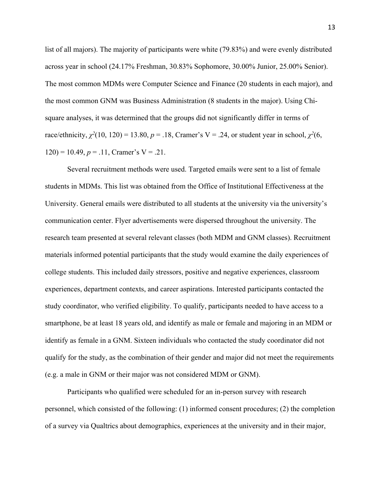list of all majors). The majority of participants were white (79.83%) and were evenly distributed across year in school (24.17% Freshman, 30.83% Sophomore, 30.00% Junior, 25.00% Senior). The most common MDMs were Computer Science and Finance (20 students in each major), and the most common GNM was Business Administration (8 students in the major). Using Chisquare analyses, it was determined that the groups did not significantly differ in terms of race/ethnicity,  $\chi^2(10, 120) = 13.80$ ,  $p = .18$ , Cramer's V = .24, or student year in school,  $\chi^2(6, 120)$  $120$ ) = 10.49,  $p = .11$ , Cramer's V = .21.

Several recruitment methods were used. Targeted emails were sent to a list of female students in MDMs. This list was obtained from the Office of Institutional Effectiveness at the University. General emails were distributed to all students at the university via the university's communication center. Flyer advertisements were dispersed throughout the university. The research team presented at several relevant classes (both MDM and GNM classes). Recruitment materials informed potential participants that the study would examine the daily experiences of college students. This included daily stressors, positive and negative experiences, classroom experiences, department contexts, and career aspirations. Interested participants contacted the study coordinator, who verified eligibility. To qualify, participants needed to have access to a smartphone, be at least 18 years old, and identify as male or female and majoring in an MDM or identify as female in a GNM. Sixteen individuals who contacted the study coordinator did not qualify for the study, as the combination of their gender and major did not meet the requirements (e.g. a male in GNM or their major was not considered MDM or GNM).

Participants who qualified were scheduled for an in-person survey with research personnel, which consisted of the following: (1) informed consent procedures; (2) the completion of a survey via Qualtrics about demographics, experiences at the university and in their major,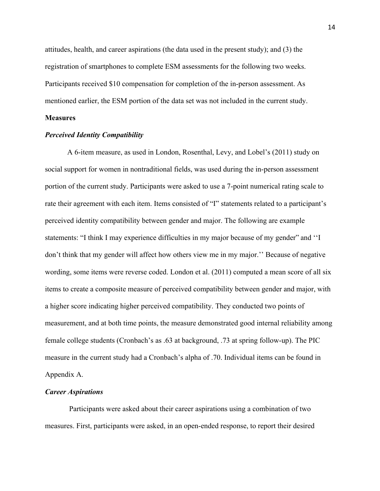attitudes, health, and career aspirations (the data used in the present study); and (3) the registration of smartphones to complete ESM assessments for the following two weeks. Participants received \$10 compensation for completion of the in-person assessment. As mentioned earlier, the ESM portion of the data set was not included in the current study.

#### **Measures**

#### *Perceived Identity Compatibility*

A 6-item measure, as used in London, Rosenthal, Levy, and Lobel's (2011) study on social support for women in nontraditional fields, was used during the in-person assessment portion of the current study. Participants were asked to use a 7-point numerical rating scale to rate their agreement with each item. Items consisted of "I" statements related to a participant's perceived identity compatibility between gender and major. The following are example statements: "I think I may experience difficulties in my major because of my gender" and ''I don't think that my gender will affect how others view me in my major.'' Because of negative wording, some items were reverse coded. London et al. (2011) computed a mean score of all six items to create a composite measure of perceived compatibility between gender and major, with a higher score indicating higher perceived compatibility. They conducted two points of measurement, and at both time points, the measure demonstrated good internal reliability among female college students (Cronbach's as .63 at background, .73 at spring follow-up). The PIC measure in the current study had a Cronbach's alpha of .70. Individual items can be found in Appendix A.

#### *Career Aspirations*

Participants were asked about their career aspirations using a combination of two measures. First, participants were asked, in an open-ended response, to report their desired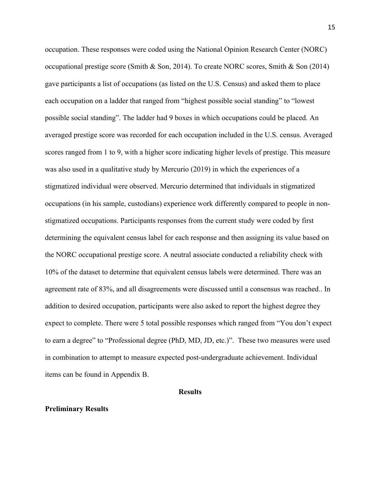occupation. These responses were coded using the National Opinion Research Center (NORC) occupational prestige score (Smith & Son, 2014). To create NORC scores, Smith & Son (2014) gave participants a list of occupations (as listed on the U.S. Census) and asked them to place each occupation on a ladder that ranged from "highest possible social standing" to "lowest possible social standing". The ladder had 9 boxes in which occupations could be placed. An averaged prestige score was recorded for each occupation included in the U.S. census. Averaged scores ranged from 1 to 9, with a higher score indicating higher levels of prestige. This measure was also used in a qualitative study by Mercurio (2019) in which the experiences of a stigmatized individual were observed. Mercurio determined that individuals in stigmatized occupations (in his sample, custodians) experience work differently compared to people in nonstigmatized occupations. Participants responses from the current study were coded by first determining the equivalent census label for each response and then assigning its value based on the NORC occupational prestige score. A neutral associate conducted a reliability check with 10% of the dataset to determine that equivalent census labels were determined. There was an agreement rate of 83%, and all disagreements were discussed until a consensus was reached.. In addition to desired occupation, participants were also asked to report the highest degree they expect to complete. There were 5 total possible responses which ranged from "You don't expect to earn a degree" to "Professional degree (PhD, MD, JD, etc.)". These two measures were used in combination to attempt to measure expected post-undergraduate achievement. Individual items can be found in Appendix B.

#### **Results**

#### **Preliminary Results**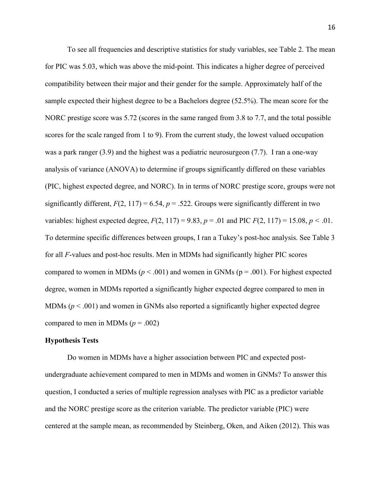To see all frequencies and descriptive statistics for study variables, see Table 2. The mean for PIC was 5.03, which was above the mid-point. This indicates a higher degree of perceived compatibility between their major and their gender for the sample. Approximately half of the sample expected their highest degree to be a Bachelors degree (52.5%). The mean score for the NORC prestige score was 5.72 (scores in the same ranged from 3.8 to 7.7, and the total possible scores for the scale ranged from 1 to 9). From the current study, the lowest valued occupation was a park ranger (3.9) and the highest was a pediatric neurosurgeon (7.7). I ran a one-way analysis of variance (ANOVA) to determine if groups significantly differed on these variables (PIC, highest expected degree, and NORC). In in terms of NORC prestige score, groups were not significantly different,  $F(2, 117) = 6.54$ ,  $p = .522$ . Groups were significantly different in two variables: highest expected degree,  $F(2, 117) = 9.83$ ,  $p = .01$  and PIC  $F(2, 117) = 15.08$ ,  $p < .01$ . To determine specific differences between groups, I ran a Tukey's post-hoc analysis. See Table 3 for all *F*-values and post-hoc results. Men in MDMs had significantly higher PIC scores compared to women in MDMs ( $p < .001$ ) and women in GNMs ( $p = .001$ ). For highest expected degree, women in MDMs reported a significantly higher expected degree compared to men in MDMs  $(p < .001)$  and women in GNMs also reported a significantly higher expected degree compared to men in MDMs  $(p = .002)$ 

#### **Hypothesis Tests**

Do women in MDMs have a higher association between PIC and expected postundergraduate achievement compared to men in MDMs and women in GNMs? To answer this question, I conducted a series of multiple regression analyses with PIC as a predictor variable and the NORC prestige score as the criterion variable. The predictor variable (PIC) were centered at the sample mean, as recommended by Steinberg, Oken, and Aiken (2012). This was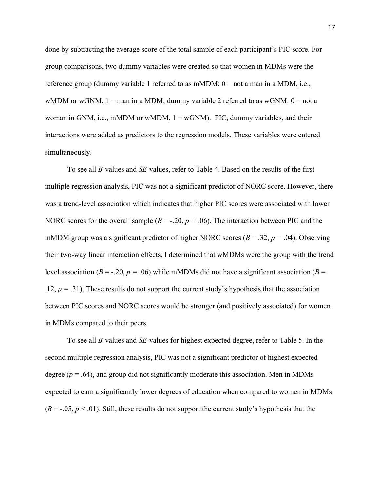done by subtracting the average score of the total sample of each participant's PIC score. For group comparisons, two dummy variables were created so that women in MDMs were the reference group (dummy variable 1 referred to as mMDM:  $0 =$  not a man in a MDM, i.e., wMDM or wGNM,  $1 =$  man in a MDM; dummy variable 2 referred to as wGNM:  $0 =$  not a woman in GNM, i.e., mMDM or wMDM,  $1 = wGNM$ ). PIC, dummy variables, and their interactions were added as predictors to the regression models. These variables were entered simultaneously.

To see all *B*-values and *SE*-values, refer to Table 4. Based on the results of the first multiple regression analysis, PIC was not a significant predictor of NORC score. However, there was a trend-level association which indicates that higher PIC scores were associated with lower NORC scores for the overall sample  $(B = -0.20, p = 0.06)$ . The interaction between PIC and the mMDM group was a significant predictor of higher NORC scores (*B* = .32, *p =* .04). Observing their two-way linear interaction effects, I determined that wMDMs were the group with the trend level association ( $B = -0.20$ ,  $p = 0.06$ ) while mMDMs did not have a significant association ( $B =$ .12, *p =* .31). These results do not support the current study's hypothesis that the association between PIC scores and NORC scores would be stronger (and positively associated) for women in MDMs compared to their peers.

To see all *B*-values and *SE*-values for highest expected degree, refer to Table 5. In the second multiple regression analysis, PIC was not a significant predictor of highest expected degree ( $p = .64$ ), and group did not significantly moderate this association. Men in MDMs expected to earn a significantly lower degrees of education when compared to women in MDMs  $(B = -0.05, p < 0.01)$ . Still, these results do not support the current study's hypothesis that the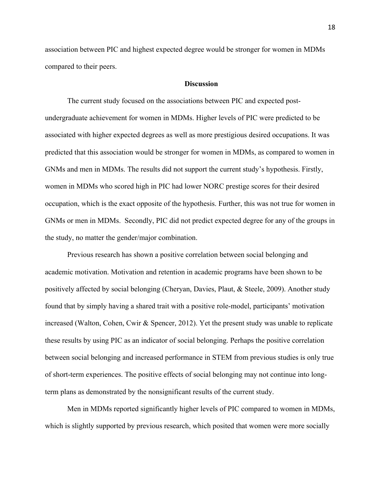association between PIC and highest expected degree would be stronger for women in MDMs compared to their peers.

#### **Discussion**

The current study focused on the associations between PIC and expected postundergraduate achievement for women in MDMs. Higher levels of PIC were predicted to be associated with higher expected degrees as well as more prestigious desired occupations. It was predicted that this association would be stronger for women in MDMs, as compared to women in GNMs and men in MDMs. The results did not support the current study's hypothesis. Firstly, women in MDMs who scored high in PIC had lower NORC prestige scores for their desired occupation, which is the exact opposite of the hypothesis. Further, this was not true for women in GNMs or men in MDMs. Secondly, PIC did not predict expected degree for any of the groups in the study, no matter the gender/major combination.

Previous research has shown a positive correlation between social belonging and academic motivation. Motivation and retention in academic programs have been shown to be positively affected by social belonging (Cheryan, Davies, Plaut, & Steele, 2009). Another study found that by simply having a shared trait with a positive role-model, participants' motivation increased (Walton, Cohen, Cwir & Spencer, 2012). Yet the present study was unable to replicate these results by using PIC as an indicator of social belonging. Perhaps the positive correlation between social belonging and increased performance in STEM from previous studies is only true of short-term experiences. The positive effects of social belonging may not continue into longterm plans as demonstrated by the nonsignificant results of the current study.

Men in MDMs reported significantly higher levels of PIC compared to women in MDMs, which is slightly supported by previous research, which posited that women were more socially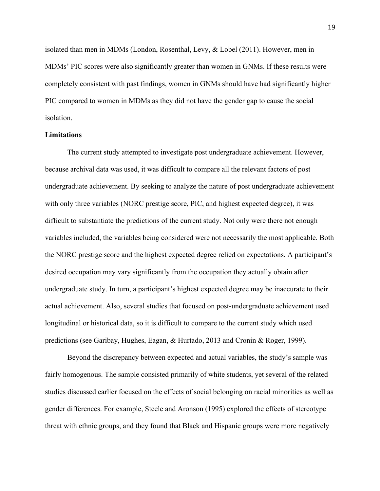isolated than men in MDMs (London, Rosenthal, Levy, & Lobel (2011). However, men in MDMs' PIC scores were also significantly greater than women in GNMs. If these results were completely consistent with past findings, women in GNMs should have had significantly higher PIC compared to women in MDMs as they did not have the gender gap to cause the social isolation.

#### **Limitations**

The current study attempted to investigate post undergraduate achievement. However, because archival data was used, it was difficult to compare all the relevant factors of post undergraduate achievement. By seeking to analyze the nature of post undergraduate achievement with only three variables (NORC prestige score, PIC, and highest expected degree), it was difficult to substantiate the predictions of the current study. Not only were there not enough variables included, the variables being considered were not necessarily the most applicable. Both the NORC prestige score and the highest expected degree relied on expectations. A participant's desired occupation may vary significantly from the occupation they actually obtain after undergraduate study. In turn, a participant's highest expected degree may be inaccurate to their actual achievement. Also, several studies that focused on post-undergraduate achievement used longitudinal or historical data, so it is difficult to compare to the current study which used predictions (see Garibay, Hughes, Eagan, & Hurtado, 2013 and Cronin & Roger, 1999).

Beyond the discrepancy between expected and actual variables, the study's sample was fairly homogenous. The sample consisted primarily of white students, yet several of the related studies discussed earlier focused on the effects of social belonging on racial minorities as well as gender differences. For example, Steele and Aronson (1995) explored the effects of stereotype threat with ethnic groups, and they found that Black and Hispanic groups were more negatively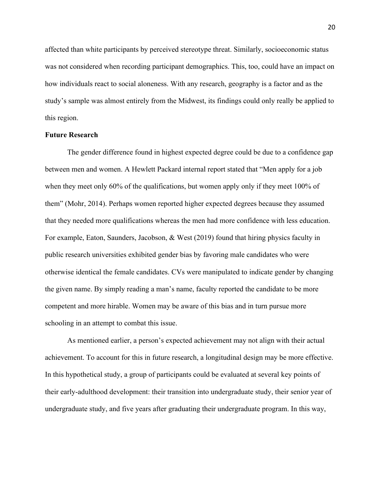affected than white participants by perceived stereotype threat. Similarly, socioeconomic status was not considered when recording participant demographics. This, too, could have an impact on how individuals react to social aloneness. With any research, geography is a factor and as the study's sample was almost entirely from the Midwest, its findings could only really be applied to this region.

#### **Future Research**

The gender difference found in highest expected degree could be due to a confidence gap between men and women. A Hewlett Packard internal report stated that "Men apply for a job when they meet only 60% of the qualifications, but women apply only if they meet 100% of them" (Mohr, 2014). Perhaps women reported higher expected degrees because they assumed that they needed more qualifications whereas the men had more confidence with less education. For example, Eaton, Saunders, Jacobson, & West (2019) found that hiring physics faculty in public research universities exhibited gender bias by favoring male candidates who were otherwise identical the female candidates. CVs were manipulated to indicate gender by changing the given name. By simply reading a man's name, faculty reported the candidate to be more competent and more hirable. Women may be aware of this bias and in turn pursue more schooling in an attempt to combat this issue.

As mentioned earlier, a person's expected achievement may not align with their actual achievement. To account for this in future research, a longitudinal design may be more effective. In this hypothetical study, a group of participants could be evaluated at several key points of their early-adulthood development: their transition into undergraduate study, their senior year of undergraduate study, and five years after graduating their undergraduate program. In this way,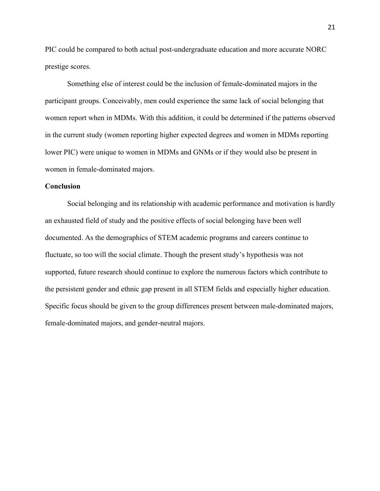PIC could be compared to both actual post-undergraduate education and more accurate NORC prestige scores.

Something else of interest could be the inclusion of female-dominated majors in the participant groups. Conceivably, men could experience the same lack of social belonging that women report when in MDMs. With this addition, it could be determined if the patterns observed in the current study (women reporting higher expected degrees and women in MDMs reporting lower PIC) were unique to women in MDMs and GNMs or if they would also be present in women in female-dominated majors.

#### **Conclusion**

Social belonging and its relationship with academic performance and motivation is hardly an exhausted field of study and the positive effects of social belonging have been well documented. As the demographics of STEM academic programs and careers continue to fluctuate, so too will the social climate. Though the present study's hypothesis was not supported, future research should continue to explore the numerous factors which contribute to the persistent gender and ethnic gap present in all STEM fields and especially higher education. Specific focus should be given to the group differences present between male-dominated majors, female-dominated majors, and gender-neutral majors.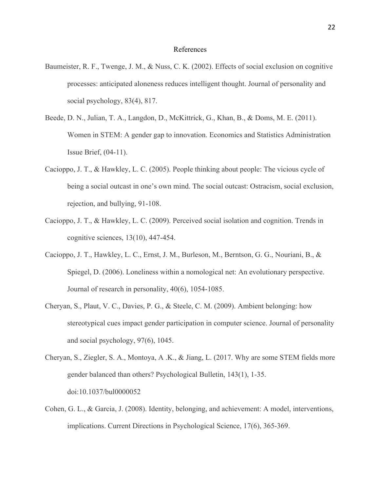#### References

- Baumeister, R. F., Twenge, J. M., & Nuss, C. K. (2002). Effects of social exclusion on cognitive processes: anticipated aloneness reduces intelligent thought. Journal of personality and social psychology, 83(4), 817.
- Beede, D. N., Julian, T. A., Langdon, D., McKittrick, G., Khan, B., & Doms, M. E. (2011). Women in STEM: A gender gap to innovation. Economics and Statistics Administration Issue Brief, (04-11).
- Cacioppo, J. T., & Hawkley, L. C. (2005). People thinking about people: The vicious cycle of being a social outcast in one's own mind. The social outcast: Ostracism, social exclusion, rejection, and bullying, 91-108.
- Cacioppo, J. T., & Hawkley, L. C. (2009). Perceived social isolation and cognition. Trends in cognitive sciences, 13(10), 447-454.
- Cacioppo, J. T., Hawkley, L. C., Ernst, J. M., Burleson, M., Berntson, G. G., Nouriani, B., & Spiegel, D. (2006). Loneliness within a nomological net: An evolutionary perspective. Journal of research in personality, 40(6), 1054-1085.
- Cheryan, S., Plaut, V. C., Davies, P. G., & Steele, C. M. (2009). Ambient belonging: how stereotypical cues impact gender participation in computer science. Journal of personality and social psychology, 97(6), 1045.
- Cheryan, S., Ziegler, S. A., Montoya, A .K., & Jiang, L. (2017. Why are some STEM fields more gender balanced than others? Psychological Bulletin, 143(1), 1-35. doi:10.1037/bul0000052
- Cohen, G. L., & Garcia, J. (2008). Identity, belonging, and achievement: A model, interventions, implications. Current Directions in Psychological Science, 17(6), 365-369.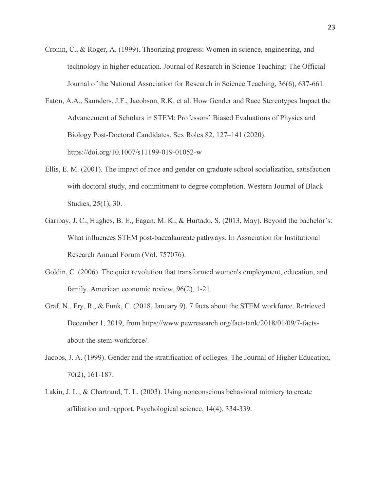- Cronin, C., & Roger, A. (1999). Theorizing progress: Women in science, engineering, and technology in higher education. Journal of Research in Science Teaching: The Official Journal of the National Association for Research in Science Teaching, 36(6), 637-661.
- Eaton, A.A., Saunders, J.F., Jacobson, R.K. et al. How Gender and Race Stereotypes Impact the Advancement of Scholars in STEM: Professors' Biased Evaluations of Physics and Biology Post-Doctoral Candidates. Sex Roles 82, 127–141 (2020). https://doi.org/10.1007/s11199-019-01052-w
- Ellis, E. M. (2001). The impact of race and gender on graduate school socialization, satisfaction with doctoral study, and commitment to degree completion. Western Journal of Black Studies, 25(1), 30.
- Garibay, J. C., Hughes, B. E., Eagan, M. K., & Hurtado, S. (2013, May). Beyond the bachelor's: What influences STEM post-baccalaureate pathways. In Association for Institutional Research Annual Forum (Vol. 757076).
- Goldin, C. (2006). The quiet revolution that transformed women's employment, education, and family. American economic review, 96(2), 1-21.
- Graf, N., Fry, R., & Funk, C. (2018, January 9). 7 facts about the STEM workforce. Retrieved December 1, 2019, from https://www.pewresearch.org/fact-tank/2018/01/09/7-factsabout-the-stem-workforce/.
- Jacobs, J. A. (1999). Gender and the stratification of colleges. The Journal of Higher Education, 70(2), 161-187.
- Lakin, J. L., & Chartrand, T. L. (2003). Using nonconscious behavioral mimicry to create affiliation and rapport. Psychological science, 14(4), 334-339.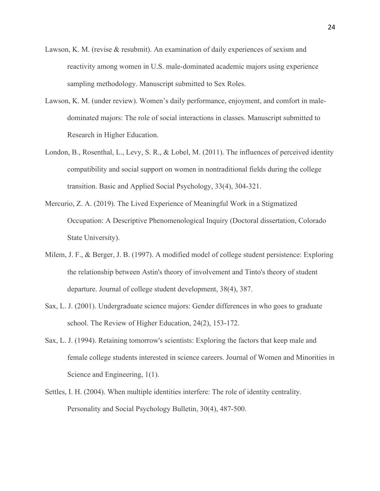- Lawson, K. M. (revise & resubmit). An examination of daily experiences of sexism and reactivity among women in U.S. male-dominated academic majors using experience sampling methodology. Manuscript submitted to Sex Roles.
- Lawson, K. M. (under review). Women's daily performance, enjoyment, and comfort in maledominated majors: The role of social interactions in classes. Manuscript submitted to Research in Higher Education.
- London, B., Rosenthal, L., Levy, S. R., & Lobel, M. (2011). The influences of perceived identity compatibility and social support on women in nontraditional fields during the college transition. Basic and Applied Social Psychology, 33(4), 304-321.
- Mercurio, Z. A. (2019). The Lived Experience of Meaningful Work in a Stigmatized Occupation: A Descriptive Phenomenological Inquiry (Doctoral dissertation, Colorado State University).
- Milem, J. F., & Berger, J. B. (1997). A modified model of college student persistence: Exploring the relationship between Astin's theory of involvement and Tinto's theory of student departure. Journal of college student development, 38(4), 387.
- Sax, L. J. (2001). Undergraduate science majors: Gender differences in who goes to graduate school. The Review of Higher Education, 24(2), 153-172.
- Sax, L. J. (1994). Retaining tomorrow's scientists: Exploring the factors that keep male and female college students interested in science careers. Journal of Women and Minorities in Science and Engineering, 1(1).
- Settles, I. H. (2004). When multiple identities interfere: The role of identity centrality. Personality and Social Psychology Bulletin, 30(4), 487-500.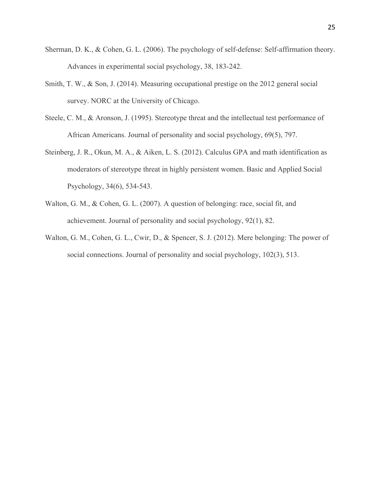- Sherman, D. K., & Cohen, G. L. (2006). The psychology of self-defense: Self-affirmation theory. Advances in experimental social psychology, 38, 183-242.
- Smith, T. W., & Son, J. (2014). Measuring occupational prestige on the 2012 general social survey. NORC at the University of Chicago.
- Steele, C. M., & Aronson, J. (1995). Stereotype threat and the intellectual test performance of African Americans. Journal of personality and social psychology, 69(5), 797.
- Steinberg, J. R., Okun, M. A., & Aiken, L. S. (2012). Calculus GPA and math identification as moderators of stereotype threat in highly persistent women. Basic and Applied Social Psychology, 34(6), 534-543.
- Walton, G. M., & Cohen, G. L. (2007). A question of belonging: race, social fit, and achievement. Journal of personality and social psychology, 92(1), 82.
- Walton, G. M., Cohen, G. L., Cwir, D., & Spencer, S. J. (2012). Mere belonging: The power of social connections. Journal of personality and social psychology, 102(3), 513.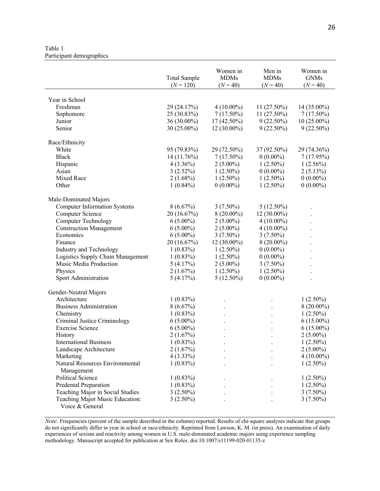Table 1 Participant demographics

|                                                    | <b>Total Sample</b> | Women in<br><b>MDMs</b> | Men in<br><b>MDMs</b> | Women in<br><b>GNMs</b> |
|----------------------------------------------------|---------------------|-------------------------|-----------------------|-------------------------|
|                                                    | $(N = 120)$         | $(N = 40)$              | $(N = 40)$            | $(N = 40)$              |
|                                                    |                     |                         |                       |                         |
| Year in School                                     |                     |                         |                       |                         |
| Freshman                                           | 29 (24.17%)         | $4(10.00\%)$            | 11 (27.50%)           | 14 (35.00%)             |
| Sophomore                                          | 25 (30.83%)         | $7(17.50\%)$            | 11 (27.50%)           | $7(17.50\%)$            |
| Junior                                             | 36 (30.00%)         | 17 (42.50%)             | $9(22.50\%)$          | $10(25.00\%)$           |
| Senior                                             | 30 (25.00%)         | 12 (30.00%)             | $9(22.50\%)$          | $9(22.50\%)$            |
| Race/Ethnicity                                     |                     |                         |                       |                         |
| White                                              | 95 (79.83%)         | 29 (72.50%)             | 37 (92.50%)           | 29 (74.36%)             |
| <b>Black</b>                                       | 14 (11.76%)         | $7(17.50\%)$            | $0(0.00\%)$           | 7(17.95%)               |
| Hispanic                                           | $4(3.36\%)$         | $2(5.00\%)$             | $1(2.50\%)$           | $1(2.56\%)$             |
| Asian                                              | 3(2.52%)            | $1(2.50\%)$             | $0(0.00\%)$           | $2(5.13\%)$             |
| Mixed Race                                         | $2(1.68\%)$         | $1(2.50\%)$             | $1(2.50\%)$           | $0(0.00\%)$             |
| Other                                              | $1(0.84\%)$         | $0(0.00\%)$             | $1(2.50\%)$           | $0(0.00\%)$             |
|                                                    |                     |                         |                       |                         |
| Male-Dominated Majors                              |                     |                         |                       |                         |
| <b>Computer Information Systems</b>                | 8(6.67%)            | $3(7.50\%)$             | $5(12.50\%)$          |                         |
| Computer Science                                   | 20 (16.67%)         | $8(20.00\%)$            | 12 (30.00%)           |                         |
| <b>Computer Technology</b>                         | $6(5.00\%)$         | $2(5.00\%)$             | $4(10.00\%)$          |                         |
| <b>Construction Management</b>                     | $6(5.00\%)$         | $2(5.00\%)$             | $4(10.00\%)$          |                         |
| Economics                                          | $6(5.00\%)$         | $3(7.50\%)$             | $3(7.50\%)$           |                         |
| Finance                                            | 20 (16.67%)         | $12(30.00\%)$           | $8(20.00\%)$          |                         |
| Industry and Technology                            | $1(0.83\%)$         | $1(2.50\%)$             | $0(0.00\%)$           |                         |
| Logistics Supply Chain Management                  | $1(0.83\%)$         | $1(2.50\%)$             | $0(0.00\%)$           |                         |
| Music Media Production                             | 5(4.17%)            | $2(5.00\%)$             | $3(7.50\%)$           |                         |
| Physics                                            | 2(1.67%)            | $1(2.50\%)$             | $1(2.50\%)$           |                         |
| Sport Administration                               | 5(4.17%)            | $5(12.50\%)$            | $0(0.00\%)$           |                         |
|                                                    |                     |                         |                       |                         |
| Gender-Neutral Majors                              |                     |                         |                       |                         |
| Architecture                                       | $1(0.83\%)$         |                         |                       | $1(2.50\%)$             |
| <b>Business Administration</b>                     | 8(6.67%)            |                         |                       | $8(20.00\%)$            |
| Chemistry                                          | $1(0.83\%)$         |                         |                       | $1(2.50\%)$             |
| Criminal Justice Criminology                       | $6(5.00\%)$         |                         |                       | $6(15.00\%)$            |
| <b>Exercise Science</b>                            | $6(5.00\%)$         |                         |                       | $6(15.00\%)$            |
| History                                            | 2(1.67%)            | $\bullet$               | $\bullet$             | $2(5.00\%)$             |
| <b>International Business</b>                      | $1(0.83\%)$         |                         |                       | $1(2.50\%)$             |
| Landscape Architecture                             | 2(1.67%)            |                         |                       | $2(5.00\%)$             |
| Marketing                                          | $4(3.33\%)$         |                         |                       | $4(10.00\%)$            |
| Natural Resources Environmental                    | $1(0.83\%)$         |                         |                       | $1(2.50\%)$             |
| Management                                         |                     |                         |                       |                         |
| <b>Political Science</b>                           | $1(0.83\%)$         |                         |                       | $1(2.50\%)$             |
| Predental Preparation                              | $1(0.83\%)$         |                         |                       | $1(2.50\%)$             |
| Teaching Major in Social Studies                   | $3(2.50\%)$         |                         |                       | $3(7.50\%)$             |
| Teaching Major Music Education:<br>Voice & General | $3(2.50\%)$         |                         |                       | $3(7.50\%)$             |

*Note.* Frequencies (percent of the sample described in the column) reported. Results of chi-square analyses indicate that groups do not significantly differ in year in school or race/ethnicity. Reprinted from Lawson, K. M. (in press). An examination of daily experiences of sexism and reactivity among women in U.S. male-dominated academic majors using experience sampling methodology. Manuscript accepted for publication at Sex Roles. doi:10.1007/s11199-020-01135-z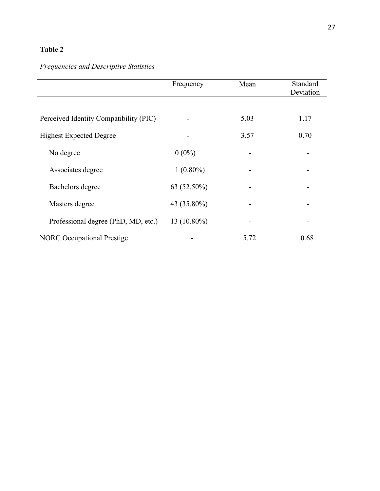# *Frequencies and Descriptive Statistics*

|                                        | Frequency   | Mean | Standard<br>Deviation |
|----------------------------------------|-------------|------|-----------------------|
|                                        |             |      |                       |
| Perceived Identity Compatibility (PIC) |             | 5.03 | 1.17                  |
| <b>Highest Expected Degree</b>         |             | 3.57 | 0.70                  |
| No degree                              | $0(0\%)$    |      |                       |
| Associates degree                      | $1(0.80\%)$ |      |                       |
| Bachelors degree                       | 63 (52.50%) |      |                       |
| Masters degree                         | 43 (35.80%) |      |                       |
| Professional degree (PhD, MD, etc.)    | 13 (10.80%) |      |                       |
| <b>NORC</b> Occupational Prestige      |             | 5.72 | 0.68                  |
|                                        |             |      |                       |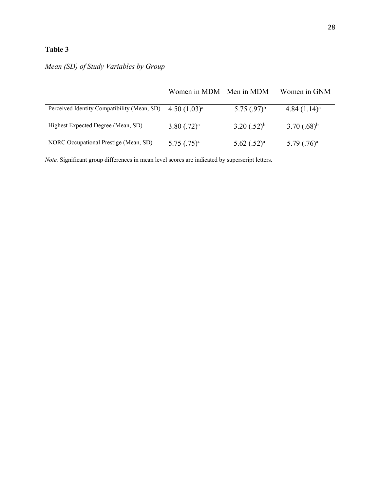## *Mean (SD) of Study Variables by Group*

|                                             | Women in MDM Men in MDM |                  | Women in GNM      |
|---------------------------------------------|-------------------------|------------------|-------------------|
| Perceived Identity Compatibility (Mean, SD) | $4.50(1.03)^a$          | 5.75 $(.97)^{b}$ | $4.84(1.14)^a$    |
| Highest Expected Degree (Mean, SD)          | $3.80$ $(.72)^a$        | $3.20(.52)^{b}$  | $(3.70)(.68)^{b}$ |
| NORC Occupational Prestige (Mean, SD)       | $5.75$ $(.75)^a$        | $5.62$ $(.52)^a$ | $5.79$ $(.76)^a$  |

*Note.* Significant group differences in mean level scores are indicated by superscript letters.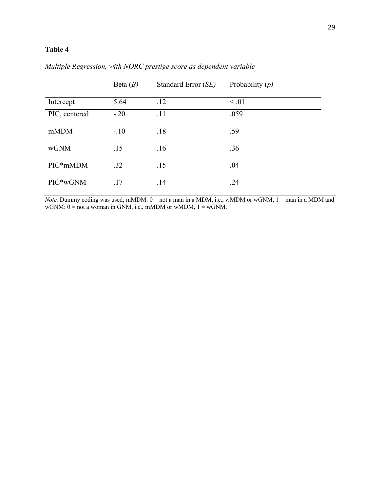|               | Beta $(B)$ | Standard Error (SE) | Probability $(p)$ |
|---------------|------------|---------------------|-------------------|
| Intercept     | 5.64       | .12                 | $\leq .01$        |
| PIC, centered | $-.20$     | .11                 | .059              |
| mMDM          | $-.10$     | .18                 | .59               |
| wGNM          | .15        | .16                 | .36               |
| PIC*mMDM      | .32        | .15                 | .04               |
| PIC*wGNM      | .17        | .14                 | .24               |

*Multiple Regression, with NORC prestige score as dependent variable*

*Note.* Dummy coding was used; mMDM:  $0 =$  not a man in a MDM, i.e., wMDM or wGNM,  $1 =$  man in a MDM and wGNM:  $0 =$  not a woman in GNM, i.e., mMDM or wMDM,  $1 =$  wGNM.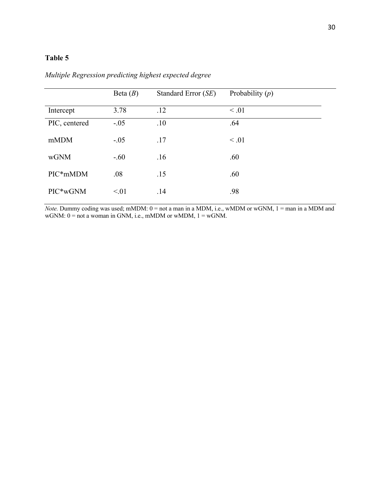|               | Beta $(B)$ | Standard Error (SE) | Probability $(p)$ |
|---------------|------------|---------------------|-------------------|
| Intercept     | 3.78       | .12                 | $\leq .01$        |
| PIC, centered | $-.05$     | .10                 | .64               |
| mMDM          | $-.05$     | .17                 | $\leq .01$        |
| wGNM          | $-.60$     | .16                 | .60               |
| PIC*mMDM      | .08        | .15                 | .60               |
| PIC*wGNM      | < 01       | .14                 | .98               |

*Multiple Regression predicting highest expected degree*

*Note.* Dummy coding was used; mMDM:  $0 =$  not a man in a MDM, i.e., wMDM or wGNM,  $1 =$  man in a MDM and  $wGNM: 0 = not a woman in GNM, i.e., mMDM or wMDM, 1 = wGNM.$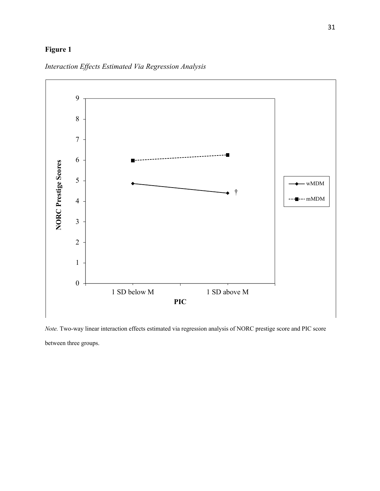### **Figure 1**



*Interaction Effects Estimated Via Regression Analysis*

*Note.* Two-way linear interaction effects estimated via regression analysis of NORC prestige score and PIC score between three groups.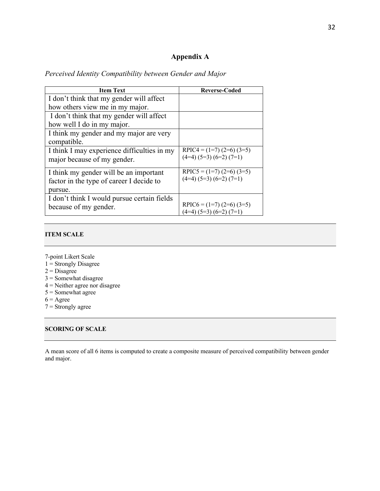### **Appendix A**

| <b>Item Text</b>                            | <b>Reverse-Coded</b>            |
|---------------------------------------------|---------------------------------|
| I don't think that my gender will affect    |                                 |
| how others view me in my major.             |                                 |
| I don't think that my gender will affect    |                                 |
| how well I do in my major.                  |                                 |
| I think my gender and my major are very     |                                 |
| compatible.                                 |                                 |
| I think I may experience difficulties in my | RPIC4 = $(1=7)$ $(2=6)$ $(3=5)$ |
| major because of my gender.                 | $(4=4) (5=3) (6=2) (7=1)$       |
| I think my gender will be an important      | RPIC5 = $(1=7)$ $(2=6)$ $(3=5)$ |
| factor in the type of career I decide to    | $(4=4) (5=3) (6=2) (7=1)$       |
| pursue.                                     |                                 |
| I don't think I would pursue certain fields |                                 |
| because of my gender.                       | RPIC6 = $(1=7)$ $(2=6)$ $(3=5)$ |
|                                             | $(4=4)$ $(5=3)$ $(6=2)$ $(7=1)$ |

## *Perceived Identity Compatibility between Gender and Major*

#### **ITEM SCALE**

- 7-point Likert Scale
- 1 = Strongly Disagree
- $2$  = Disagree
- 3 = Somewhat disagree
- $4$  = Neither agree nor disagree
- 5 = Somewhat agree
- $6 = \text{Agree}$
- $7 =$ Strongly agree

#### **SCORING OF SCALE**

A mean score of all 6 items is computed to create a composite measure of perceived compatibility between gender and major.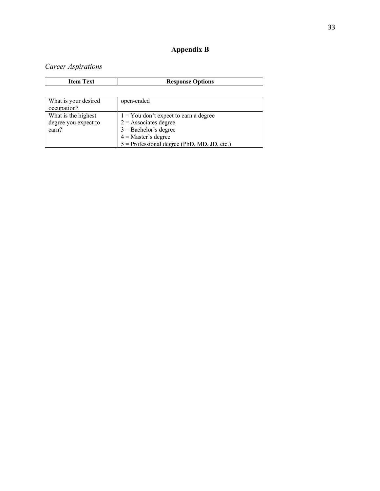## **Appendix B**

## *Career Aspirations*

| <b>Item Text</b>                                     | <b>Response Options</b>                                                                                                                                                 |
|------------------------------------------------------|-------------------------------------------------------------------------------------------------------------------------------------------------------------------------|
|                                                      |                                                                                                                                                                         |
| What is your desired<br>occupation?                  | open-ended                                                                                                                                                              |
| What is the highest<br>degree you expect to<br>earn? | $1 =$ You don't expect to earn a degree<br>$2 =$ Associates degree<br>$3 =$ Bachelor's degree<br>$4$ = Master's degree<br>$5$ = Professional degree (PhD, MD, JD, etc.) |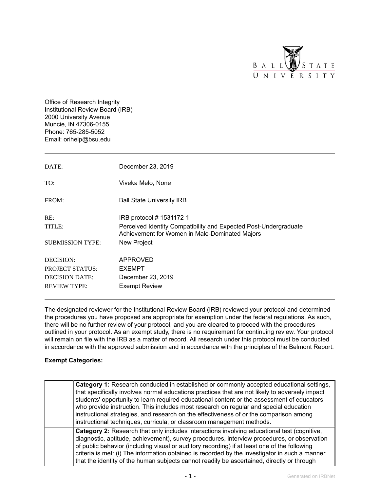

Office of Research Integrity Institutional Review Board (IRB) 2000 University Avenue Muncie, IN 47306-0155 Phone: 765-285-5052 Email: orihelp@bsu.edu

| DATE:                   | December 23, 2019                                                                                                  |
|-------------------------|--------------------------------------------------------------------------------------------------------------------|
| TO:                     | Viveka Melo, None                                                                                                  |
| FROM:                   | <b>Ball State University IRB</b>                                                                                   |
| RE:                     | IRB protocol # 1531172-1                                                                                           |
| TITLE:                  | Perceived Identity Compatibility and Expected Post-Undergraduate<br>Achievement for Women in Male-Dominated Majors |
| <b>SUBMISSION TYPE:</b> | New Project                                                                                                        |
| DECISION:               | APPROVED                                                                                                           |
| <b>PROJECT STATUS:</b>  | <b>EXEMPT</b>                                                                                                      |
| <b>DECISION DATE:</b>   | December 23, 2019                                                                                                  |
| <b>REVIEW TYPE:</b>     | <b>Exempt Review</b>                                                                                               |

The designated reviewer for the Institutional Review Board (IRB) reviewed your protocol and determined the procedures you have proposed are appropriate for exemption under the federal regulations. As such, there will be no further review of your protocol, and you are cleared to proceed with the procedures outlined in your protocol. As an exempt study, there is no requirement for continuing review. Your protocol will remain on file with the IRB as a matter of record. All research under this protocol must be conducted in accordance with the approved submission and in accordance with the principles of the Belmont Report.

#### **Exempt Categories:**

| Category 1: Research conducted in established or commonly accepted educational settings,<br>that specifically involves normal educations practices that are not likely to adversely impact<br>students' opportunity to learn required educational content or the assessment of educators<br>who provide instruction. This includes most research on regular and special education<br>instructional strategies, and research on the effectiveness of or the comparison among<br>instructional techniques, curricula, or classroom management methods. |
|------------------------------------------------------------------------------------------------------------------------------------------------------------------------------------------------------------------------------------------------------------------------------------------------------------------------------------------------------------------------------------------------------------------------------------------------------------------------------------------------------------------------------------------------------|
| <b>Category 2:</b> Research that only includes interactions involving educational test (cognitive,<br>diagnostic, aptitude, achievement), survey procedures, interview procedures, or observation<br>of public behavior (including visual or auditory recording) if at least one of the following<br>criteria is met: (i) The information obtained is recorded by the investigator in such a manner<br>that the identity of the human subjects cannot readily be ascertained, directly or through                                                    |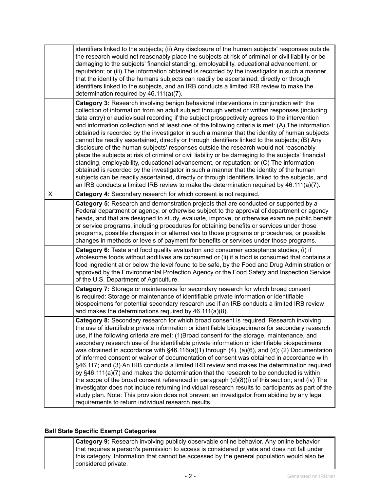|   | identifiers linked to the subjects; (ii) Any disclosure of the human subjects' responses outside<br>the research would not reasonably place the subjects at risk of criminal or civil liability or be<br>damaging to the subjects' financial standing, employability, educational advancement, or<br>reputation; or (iii) The information obtained is recorded by the investigator in such a manner<br>that the identity of the humans subjects can readily be ascertained, directly or through<br>identifiers linked to the subjects, and an IRB conducts a limited IRB review to make the<br>determination required by 46.111(a)(7).                                                                                                                                                                                                                                                                                                                                                                                                                                                                                                                                                     |
|---|--------------------------------------------------------------------------------------------------------------------------------------------------------------------------------------------------------------------------------------------------------------------------------------------------------------------------------------------------------------------------------------------------------------------------------------------------------------------------------------------------------------------------------------------------------------------------------------------------------------------------------------------------------------------------------------------------------------------------------------------------------------------------------------------------------------------------------------------------------------------------------------------------------------------------------------------------------------------------------------------------------------------------------------------------------------------------------------------------------------------------------------------------------------------------------------------|
|   | Category 3: Research involving benign behavioral interventions in conjunction with the<br>collection of information from an adult subject through verbal or written responses (including<br>data entry) or audiovisual recording if the subject prospectively agrees to the intervention<br>and information collection and at least one of the following criteria is met: (A) The information<br>obtained is recorded by the investigator in such a manner that the identity of human subjects<br>cannot be readily ascertained, directly or through identifiers linked to the subjects; (B) Any<br>disclosure of the human subjects' responses outside the research would not reasonably<br>place the subjects at risk of criminal or civil liability or be damaging to the subjects' financial<br>standing, employability, educational advancement, or reputation; or (C) The information<br>obtained is recorded by the investigator in such a manner that the identity of the human<br>subjects can be readily ascertained, directly or through identifiers linked to the subjects, and<br>an IRB conducts a limited IRB review to make the determination required by $46.111(a)(7)$ . |
| X | Category 4: Secondary research for which consent is not required.                                                                                                                                                                                                                                                                                                                                                                                                                                                                                                                                                                                                                                                                                                                                                                                                                                                                                                                                                                                                                                                                                                                          |
|   | Category 5: Research and demonstration projects that are conducted or supported by a<br>Federal department or agency, or otherwise subject to the approval of department or agency<br>heads, and that are designed to study, evaluate, improve, or otherwise examine public benefit<br>or service programs, including procedures for obtaining benefits or services under those<br>programs, possible changes in or alternatives to those programs or procedures, or possible<br>changes in methods or levels of payment for benefits or services under those programs.                                                                                                                                                                                                                                                                                                                                                                                                                                                                                                                                                                                                                    |
|   | Category 6: Taste and food quality evaluation and consumer acceptance studies, (i) if<br>wholesome foods without additives are consumed or (ii) if a food is consumed that contains a<br>food ingredient at or below the level found to be safe, by the Food and Drug Administration or<br>approved by the Environmental Protection Agency or the Food Safety and Inspection Service<br>of the U.S. Department of Agriculture.                                                                                                                                                                                                                                                                                                                                                                                                                                                                                                                                                                                                                                                                                                                                                             |
|   | Category 7: Storage or maintenance for secondary research for which broad consent<br>is required: Storage or maintenance of identifiable private information or identifiable<br>biospecimens for potential secondary research use if an IRB conducts a limited IRB review<br>and makes the determinations required by 46.111(a)(8).                                                                                                                                                                                                                                                                                                                                                                                                                                                                                                                                                                                                                                                                                                                                                                                                                                                        |
|   | <b>Category 8:</b> Secondary research for which broad consent is required: Research involving<br>the use of identifiable private information or identifiable biospecimens for secondary research<br>use, if the following criteria are met: (1)Broad consent for the storage, maintenance, and<br>secondary research use of the identifiable private information or identifiable biospecimens<br>was obtained in accordance with §46.116(a)(1) through (4), (a)(6), and (d); (2) Documentation<br>of informed consent or waiver of documentation of consent was obtained in accordance with<br>§46.117; and (3) An IRB conducts a limited IRB review and makes the determination required<br>by §46.111(a)(7) and makes the determination that the research to be conducted is within<br>the scope of the broad consent referenced in paragraph $(d)(8)(i)$ of this section; and (iv) The<br>investigator does not include returning individual research results to participants as part of the<br>study plan. Note: This provision does not prevent an investigator from abiding by any legal<br>requirements to return individual research results.                                      |

#### **Ball State Specific Exempt Categories**

**Category 9:** Research involving publicly observable online behavior. Any online behavior that requires a person's permission to access is considered private and does not fall under this category. Information that cannot be accessed by the general population would also be considered private.